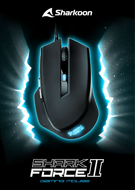

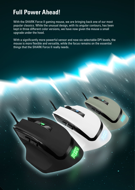## **Full Power Ahead!**

With the SHARK Force II gaming mouse, we are bringing back one of our most popular classics. While the unusual design, with its angular contours, has been kept in three different color versions, we have now given the mouse a small upgrade under the hood.

With a significantly more powerful sensor and now six selectable DPI levels, the mouse is more flexible and versatile, while the focus remains on the essential things that the SHARK Force II really needs.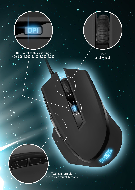DPI switch with six settings (400, 800, 1,600, 2,400, 3,200, 4,200)

Exact scroll wheel

Two comfortably accessible thumb buttons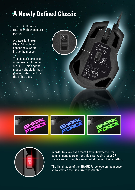# **A Newly Defined Classic**

The SHARK Force II returns with even more power.

A powerful PixArt PAW3519 optical sensor now works inside the mouse.

The sensor possesses a precise resolution of 4,200 DPI, making the mouse suitable for both gaming setups and on the office desk.







In order to allow even more flexibility whether for gaming maneuvers or for office work, six preset DPI steps can be smoothly selected at the touch of a button.

The illumination of the SHARK Force logo on the mouse shows which step is currently selected.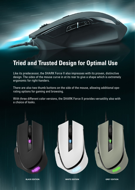

### **Tried and Trusted Design for Optimal Use**

Like its predecessor, the SHARK Force II also impresses with its proven, distinctive design. The sides of the mouse curve in at its rear to give a shape which is extremely ergonomic for right-handers.

There are also two thumb buttons on the side of the mouse, allowing additional operating options for gaming and browsing.

With three different color versions, the SHARK Force II provides versatility also with a choice of looks.